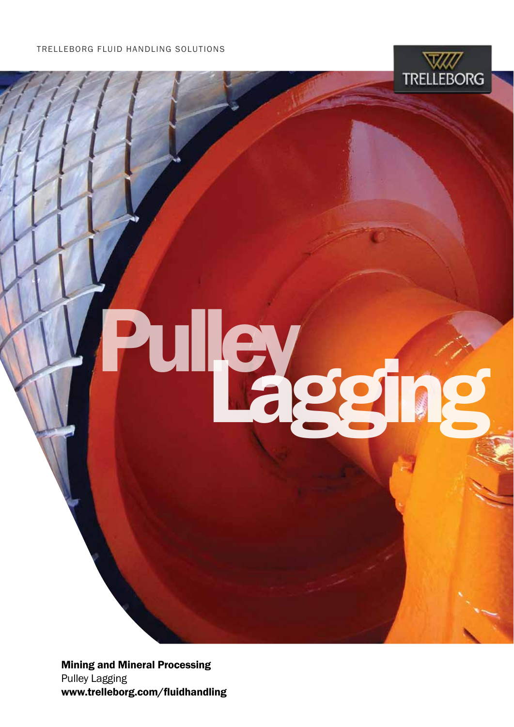

# Puley<sub>gg</sub>

Mining and Mineral Processing Pulley Lagging www.trelleborg.com/fluidhandling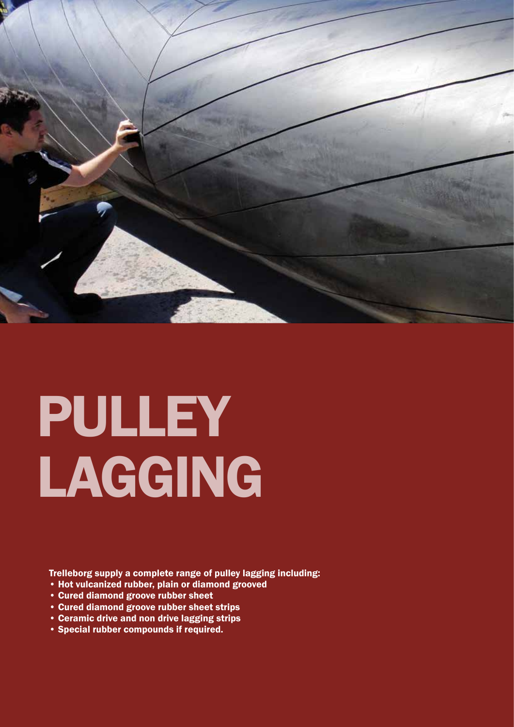

## PULLEY LAGGING

Trelleborg supply a complete range of pulley lagging including:

- Hot vulcanized rubber, plain or diamond grooved
- Cured diamond groove rubber sheet
- Cured diamond groove rubber sheet strips
- Ceramic drive and non drive lagging strips
- Special rubber compounds if required.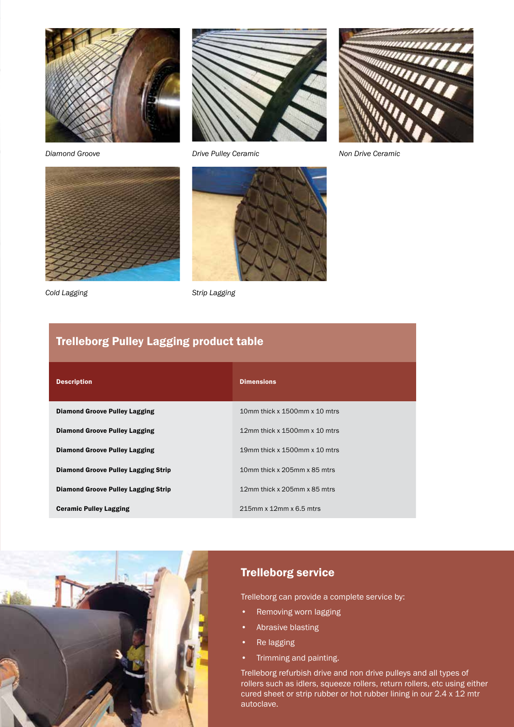



*Cold Lagging Strip Lagging*



*Diamond Groove Drive Pulley Ceramic Non Drive Ceramic*





## Trelleborg Pulley Lagging product table

| <b>Description</b>                         | <b>Dimensions</b>                   |
|--------------------------------------------|-------------------------------------|
| <b>Diamond Groove Pulley Lagging</b>       | 10mm thick x 1500mm x 10 mtrs       |
| <b>Diamond Groove Pulley Lagging</b>       | 12mm thick x 1500mm x 10 mtrs       |
| <b>Diamond Groove Pulley Lagging</b>       | 19 mm thick x $1500$ mm x $10$ mtrs |
| <b>Diamond Groove Pulley Lagging Strip</b> | 10mm thick x 205mm x 85 mtrs        |
| <b>Diamond Groove Pulley Lagging Strip</b> | 12mm thick x 205mm x 85 mtrs        |
| <b>Ceramic Pulley Lagging</b>              | 215mm x 12mm x 6.5 mtrs             |



### Trelleborg service

Trelleborg can provide a complete service by:

- Removing worn lagging
- Abrasive blasting
- Re lagging
- Trimming and painting.

Trelleborg refurbish drive and non drive pulleys and all types of rollers such as idlers, squeeze rollers, return rollers, etc using either cured sheet or strip rubber or hot rubber lining in our 2.4 x 12 mtr autoclave.